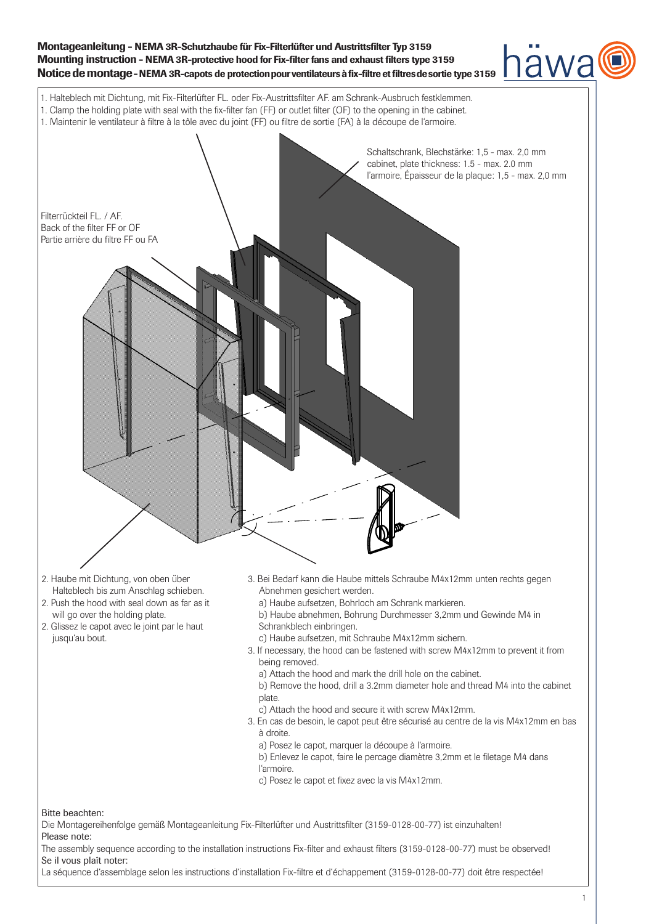# Montageanleitung - NEMA 3R-Schutzhaube für Fix-Filterlüfter und Austrittsfilter Typ 3159 Mounting instruction - NEMA 3R-protective hood for Fix-filter fans and exhaust filters type 3159 Notice de montage - NEMA 3R-capots de protection pour ventilateurs à fix-filtre et filtres de sortie type 3159



- c) Attach the hood and secure it with screw M4x12mm.
- 3. En cas de besoin, le capot peut être sécurisé au centre de la vis M4x12mm en bas à droite.
	- a) Posez le capot, marquer la découpe à l'armoire.
	- b) Enlevez le capot, faire le percage diamètre 3,2mm et le filetage M4 dans
- l'armoire.
- c) Posez le capot et fixez avec la vis M4x12mm.

## Bitte beachten:

Die Montagereihenfolge gemäß Montageanleitung Fix-Filterlüfter und Austrittsfilter (3159-0128-00-77) ist einzuhalten! Please note:

The assembly sequence according to the installation instructions Fix-filter and exhaust filters (3159-0128-00-77) must be observed! Se il vous plaît noter:

La séquence d'assemblage selon les instructions d'installation Fix-filtre et d'échappement (3159-0128-00-77) doit être respectée!

häwa